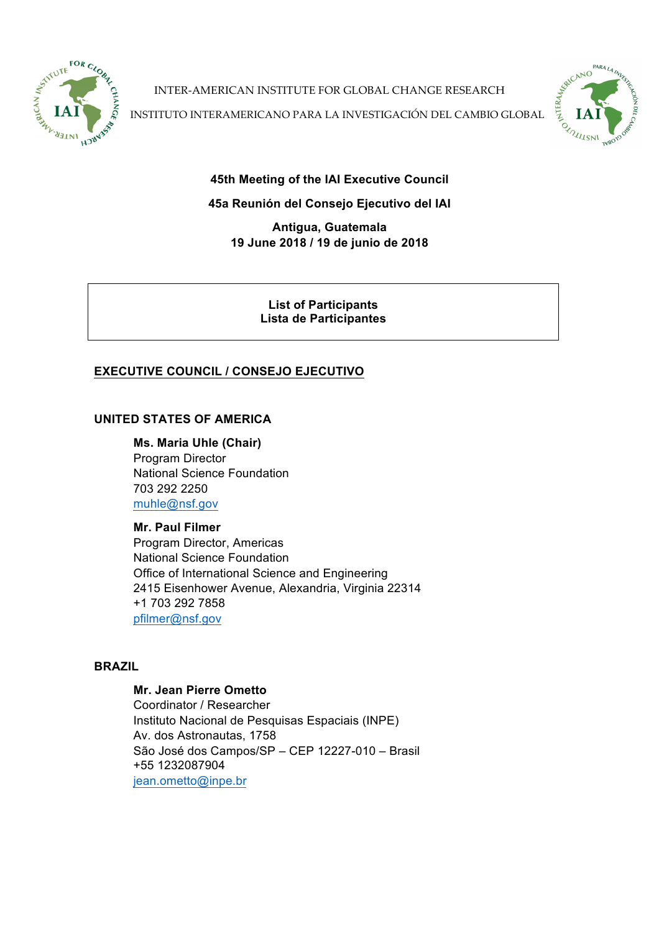

INTER-AMERICAN INSTITUTE FOR GLOBAL CHANGE RESEARCH

INTER-AMERICAN INSTITUTE FOR GLOBAL CHANGE RESEARCH<br>INSTITUTO INTERAMERICANO PARA LA INVESTIGACIÓN DEL CAMBIO GLOBAL **PARTITION AND REAL PROPERTY** 

PAR<sub>4</sub>

 $rac{1}{2}$ 

**45th Meeting of the IAI Executive Council**

# **45a Reunión del Consejo Ejecutivo del IAI**

**Antigua, Guatemala 19 June 2018 / 19 de junio de 2018**

> **List of Participants Lista de Participantes**

# **EXECUTIVE COUNCIL / CONSEJO EJECUTIVO**

# **UNITED STATES OF AMERICA**

**Ms. Maria Uhle (Chair)** Program Director National Science Foundation 703 292 2250 muhle@nsf.gov

# **Mr. Paul Filmer**

Program Director, Americas National Science Foundation Office of International Science and Engineering 2415 Eisenhower Avenue, Alexandria, Virginia 22314 +1 703 292 7858 pfilmer@nsf.gov

# **BRAZIL**

## **Mr. Jean Pierre Ometto**

Coordinator / Researcher Instituto Nacional de Pesquisas Espaciais (INPE) Av. dos Astronautas, 1758 São José dos Campos/SP – CEP 12227-010 – Brasil +55 1232087904 jean.ometto@inpe.br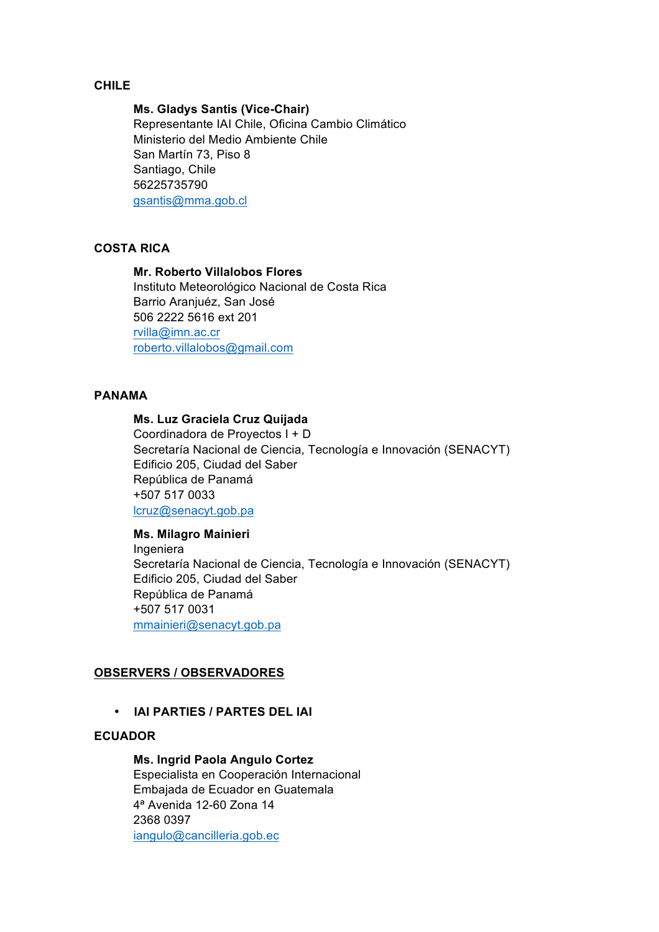## **CHILE**

### **Ms. Gladys Santis (Vice-Chair)**

Representante IAI Chile, Oficina Cambio Climático Ministerio del Medio Ambiente Chile San Martín 73, Piso 8 Santiago, Chile 56225735790 gsantis@mma.gob.cl

### **COSTA RICA**

## **Mr. Roberto Villalobos Flores**

Instituto Meteorológico Nacional de Costa Rica Barrio Aranjuéz, San José 506 2222 5616 ext 201 rvilla@imn.ac.cr roberto.villalobos@gmail.com

## **PANAMA**

### **Ms. Luz Graciela Cruz Quijada**

Coordinadora de Proyectos I + D Secretaría Nacional de Ciencia, Tecnología e Innovación (SENACYT) Edificio 205, Ciudad del Saber República de Panamá +507 517 0033 lcruz@senacyt.gob.pa

### **Ms. Milagro Mainieri**

Ingeniera Secretaría Nacional de Ciencia, Tecnología e Innovación (SENACYT) Edificio 205, Ciudad del Saber República de Panamá +507 517 0031 mmainieri@senacyt.gob.pa

## **OBSERVERS / OBSERVADORES**

### • **IAI PARTIES / PARTES DEL IAI**

### **ECUADOR**

### **Ms. Ingrid Paola Angulo Cortez**

Especialista en Cooperación Internacional Embajada de Ecuador en Guatemala 4ª Avenida 12-60 Zona 14 2368 0397 iangulo@cancilleria.gob.ec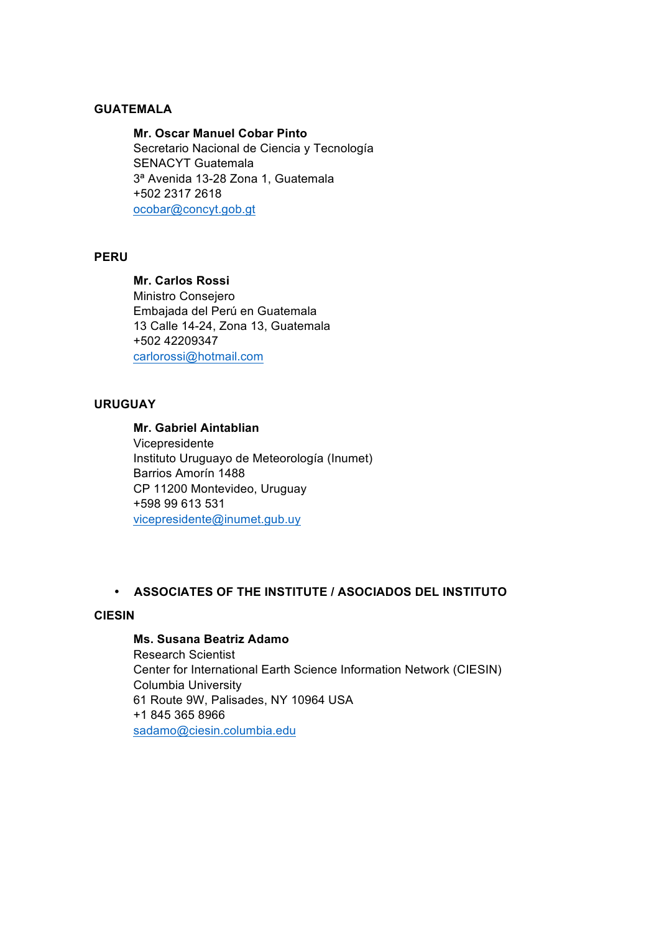### **GUATEMALA**

**Mr. Oscar Manuel Cobar Pinto** Secretario Nacional de Ciencia y Tecnología SENACYT Guatemala 3ª Avenida 13-28 Zona 1, Guatemala +502 2317 2618 ocobar@concyt.gob.gt

### **PERU**

#### **Mr. Carlos Rossi**

Ministro Consejero Embajada del Perú en Guatemala 13 Calle 14-24, Zona 13, Guatemala +502 42209347 carlorossi@hotmail.com

### **URUGUAY**

# **Mr. Gabriel Aintablian**

Vicepresidente Instituto Uruguayo de Meteorología (Inumet) Barrios Amorín 1488 CP 11200 Montevideo, Uruguay +598 99 613 531 vicepresidente@inumet.gub.uy

## • **ASSOCIATES OF THE INSTITUTE / ASOCIADOS DEL INSTITUTO**

### **CIESIN**

## **Ms. Susana Beatriz Adamo**

Research Scientist Center for International Earth Science Information Network (CIESIN) Columbia University 61 Route 9W, Palisades, NY 10964 USA +1 845 365 8966 sadamo@ciesin.columbia.edu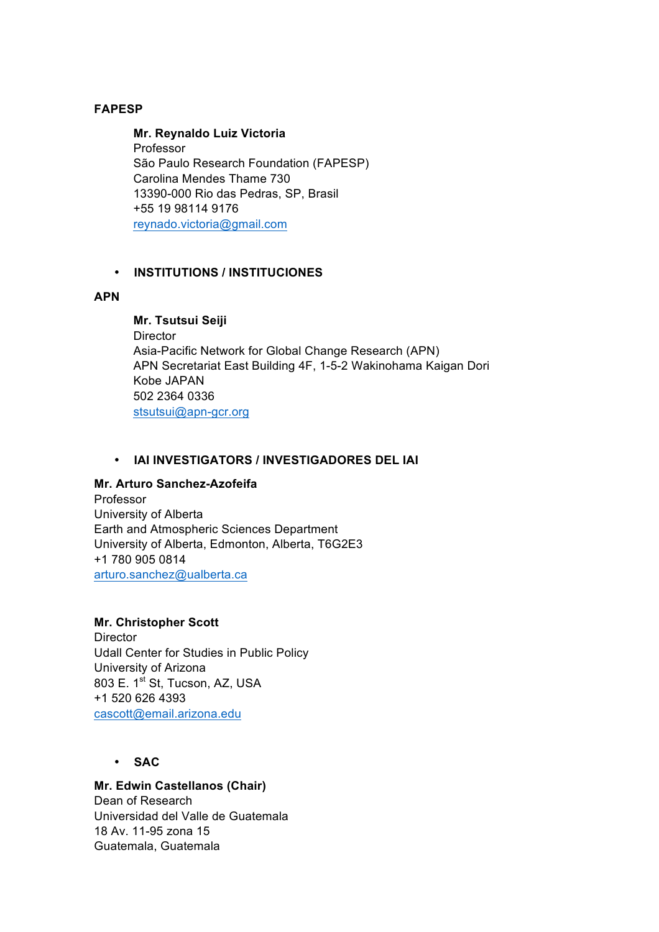# **FAPESP**

## **Mr. Reynaldo Luiz Victoria** Professor São Paulo Research Foundation (FAPESP) Carolina Mendes Thame 730 13390-000 Rio das Pedras, SP, Brasil +55 19 98114 9176 reynado.victoria@gmail.com

## • **INSTITUTIONS / INSTITUCIONES**

## **APN**

# **Mr. Tsutsui Seiji**

**Director** Asia-Pacific Network for Global Change Research (APN) APN Secretariat East Building 4F, 1-5-2 Wakinohama Kaigan Dori Kobe JAPAN 502 2364 0336 stsutsui@apn-gcr.org

### • **IAI INVESTIGATORS / INVESTIGADORES DEL IAI**

## **Mr. Arturo Sanchez-Azofeifa**

Professor University of Alberta Earth and Atmospheric Sciences Department University of Alberta, Edmonton, Alberta, T6G2E3 +1 780 905 0814 arturo.sanchez@ualberta.ca

## **Mr. Christopher Scott**

**Director** Udall Center for Studies in Public Policy University of Arizona 803 E. 1<sup>st</sup> St, Tucson, AZ, USA +1 520 626 4393 cascott@email.arizona.edu

• **SAC**

# **Mr. Edwin Castellanos (Chair)**

Dean of Research Universidad del Valle de Guatemala 18 Av. 11-95 zona 15 Guatemala, Guatemala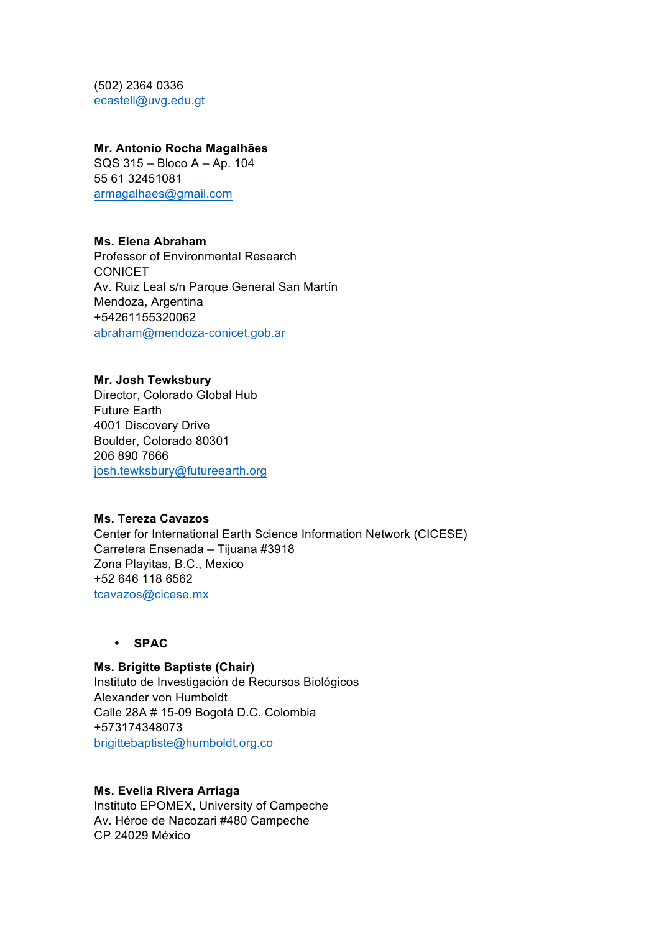(502) 2364 0336 ecastell@uvg.edu.gt

### **Mr. Antonio Rocha Magalhães**

SQS 315 – Bloco A – Ap. 104 55 61 32451081 armagalhaes@gmail.com

## **Ms. Elena Abraham**

Professor of Environmental Research **CONICET** Av. Ruiz Leal s/n Parque General San Martín Mendoza, Argentina +54261155320062 abraham@mendoza-conicet.gob.ar

## **Mr. Josh Tewksbury**

Director, Colorado Global Hub Future Earth 4001 Discovery Drive Boulder, Colorado 80301 206 890 7666 josh.tewksbury@futureearth.org

## **Ms. Tereza Cavazos**

Center for International Earth Science Information Network (CICESE) Carretera Ensenada – Tijuana #3918 Zona Playitas, B.C., Mexico +52 646 118 6562 tcavazos@cicese.mx

• **SPAC**

## **Ms. Brigitte Baptiste (Chair)** Instituto de Investigación de Recursos Biológicos Alexander von Humboldt Calle 28A # 15-09 Bogotá D.C. Colombia +573174348073 brigittebaptiste@humboldt.org.co

## **Ms. Evelia Rivera Arriaga**

Instituto EPOMEX, University of Campeche Av. Héroe de Nacozari #480 Campeche CP 24029 México